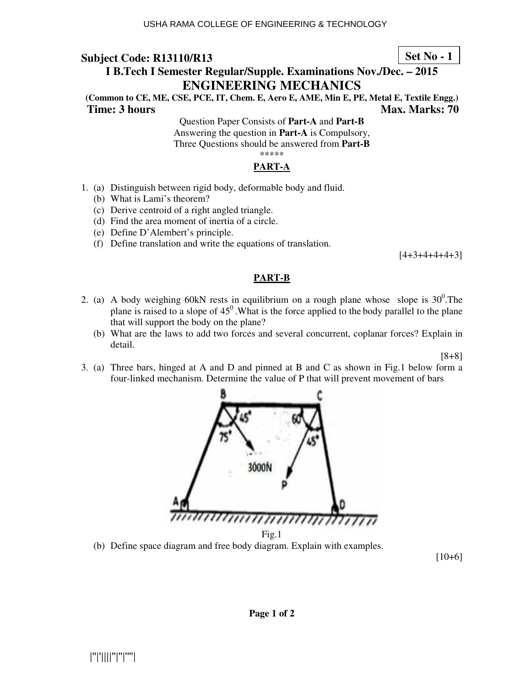### **Set No - 1**

## **I B.Tech I Semester Regular/Supple. Examinations Nov./Dec. – 2015 ENGINEERING MECHANICS**

**(Common to CE, ME, CSE, PCE, IT, Chem. E, Aero E, AME, Min E, PE, Metal E, Textile Engg.) Time: 3 hours** Max. Marks: 70

> Question Paper Consists of **Part-A** and **Part-B** Answering the question in **Part-A** is Compulsory, Three Questions should be answered from **Part-B** \*\*\*\*\*

### **PART-A**

- 1. (a) Distinguish between rigid body, deformable body and fluid.
	- (b) What is Lami's theorem?
	- (c) Derive centroid of a right angled triangle.
	- (d) Find the area moment of inertia of a circle.
	- (e) Define D'Alembert's principle.
	- (f) Define translation and write the equations of translation.

 $[4+3+4+4+4+3]$ 

#### **PART-B**

- 2. (a) A body weighing 60kN rests in equilibrium on a rough plane whose slope is  $30^0$ . The plane is raised to a slope of  $45^{\circ}$ . What is the force applied to the body parallel to the plane that will support the body on the plane?
	- (b) What are the laws to add two forces and several concurrent, coplanar forces? Explain in detail.

#### [8+8]

3. (a) Three bars, hinged at A and D and pinned at B and C as shown in Fig.1 below form a four-linked mechanism. Determine the value of P that will prevent movement of bars



(b) Define space diagram and free body diagram. Explain with examples.

 $[10+6]$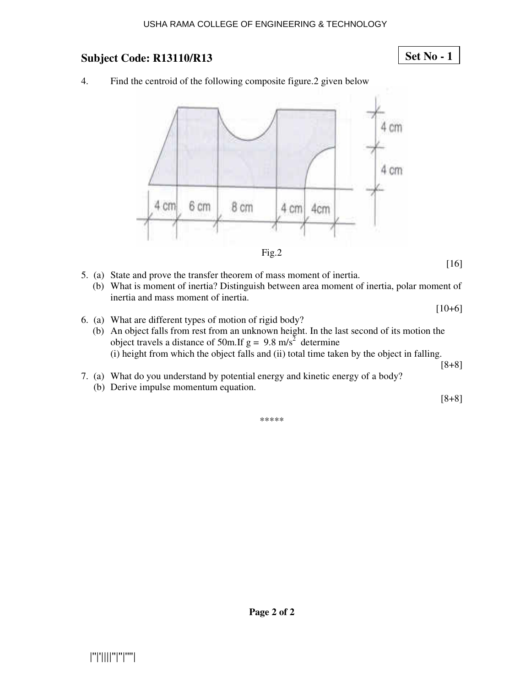#### USHA RAMA COLLEGE OF ENGINEERING & TECHNOLOGY

### **Subject Code: R13110/R13**

### **Set No - 1**

4. Find the centroid of the following composite figure.2 given below





[16]

 $[10+6]$ 

- 5. (a) State and prove the transfer theorem of mass moment of inertia.
	- (b) What is moment of inertia? Distinguish between area moment of inertia, polar moment of inertia and mass moment of inertia.
- 6. (a) What are different types of motion of rigid body?
	- (b) An object falls from rest from an unknown height. In the last second of its motion the object travels a distance of 50m. If  $g = 9.8$  m/s<sup>2</sup> determine (i) height from which the object falls and (ii) total time taken by the object in falling. [8+8]
- 7. (a) What do you understand by potential energy and kinetic energy of a body?
	- (b) Derive impulse momentum equation.

[8+8]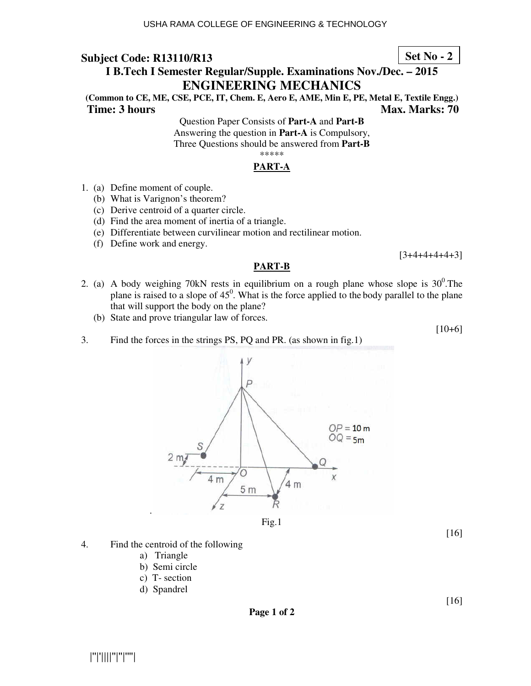### **Set No - 2**

## **I B.Tech I Semester Regular/Supple. Examinations Nov./Dec. – 2015 ENGINEERING MECHANICS**

**(Common to CE, ME, CSE, PCE, IT, Chem. E, Aero E, AME, Min E, PE, Metal E, Textile Engg.) Time: 3 hours** Max. Marks: 70

> Question Paper Consists of **Part-A** and **Part-B** Answering the question in **Part-A** is Compulsory, Three Questions should be answered from **Part-B** \*\*\*\*\*

## **PART-A**

- 1. (a) Define moment of couple.
	- (b) What is Varignon's theorem?
	- (c) Derive centroid of a quarter circle.
	- (d) Find the area moment of inertia of a triangle.
	- (e) Differentiate between curvilinear motion and rectilinear motion.
	- (f) Define work and energy.

[3+4+4+4+4+3]

#### **PART-B**

- 2. (a) A body weighing 70kN rests in equilibrium on a rough plane whose slope is  $30^0$ . The plane is raised to a slope of  $45^{\circ}$ . What is the force applied to the body parallel to the plane that will support the body on the plane?
	- (b) State and prove triangular law of forces.

[10+6]



- 4. Find the centroid of the following
	- a) Triangle
	- b) Semi circle
	- c) T- section
	- d) Spandrel

**Page 1 of 2** 

[16]

[16]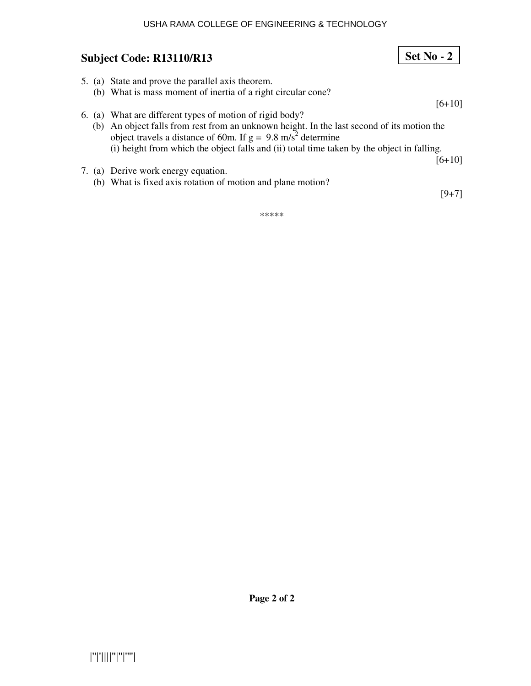#### USHA RAMA COLLEGE OF ENGINEERING & TECHNOLOGY

### **Subject Code: R13110/R13**

5. (a) State and prove the parallel axis theorem. (b) What is mass moment of inertia of a right circular cone?  $[6+10]$ 6. (a) What are different types of motion of rigid body? (b) An object falls from rest from an unknown height. In the last second of its motion the object travels a distance of 60m. If  $g = 9.8$  m/s<sup>2</sup> determine (i) height from which the object falls and (ii) total time taken by the object in falling. [6+10] 7. (a) Derive work energy equation. (b) What is fixed axis rotation of motion and plane motion?

[9+7]

**Set No - 2**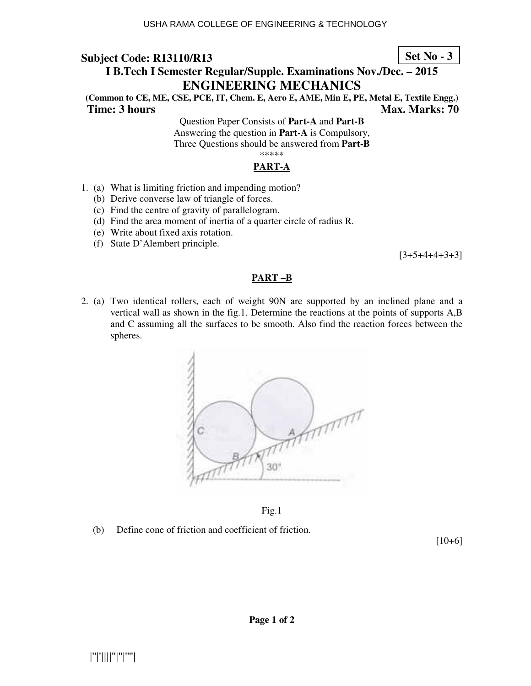#### **Set No - 3**

## **I B.Tech I Semester Regular/Supple. Examinations Nov./Dec. – 2015 ENGINEERING MECHANICS**

**(Common to CE, ME, CSE, PCE, IT, Chem. E, Aero E, AME, Min E, PE, Metal E, Textile Engg.) Time: 3 hours Max. Marks: 70 Max. Marks: 70** 

> Question Paper Consists of **Part-A** and **Part-B** Answering the question in **Part-A** is Compulsory, Three Questions should be answered from **Part-B** \*\*\*\*\*

#### **PART-A**

- 1. (a) What is limiting friction and impending motion?
	- (b) Derive converse law of triangle of forces.
	- (c) Find the centre of gravity of parallelogram.
	- (d) Find the area moment of inertia of a quarter circle of radius R.
	- (e) Write about fixed axis rotation.
	- (f) State D'Alembert principle.

 $[3+5+4+4+3+3]$ 

#### **PART –B**

2. (a) Two identical rollers, each of weight 90N are supported by an inclined plane and a vertical wall as shown in the fig.1. Determine the reactions at the points of supports A,B and C assuming all the surfaces to be smooth. Also find the reaction forces between the spheres.



Fig.1

(b) Define cone of friction and coefficient of friction.

[10+6]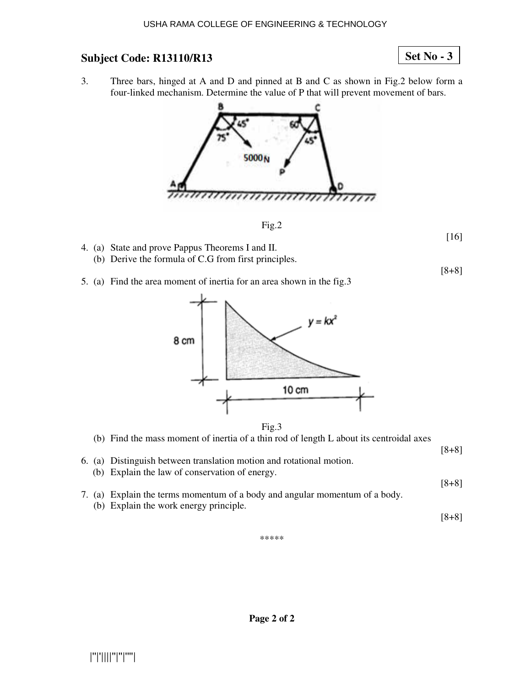### **Set No - 3**

3. Three bars, hinged at A and D and pinned at B and C as shown in Fig.2 below form a four-linked mechanism. Determine the value of P that will prevent movement of bars.



Fig.2

[16]

[8+8]

- 4. (a) State and prove Pappus Theorems I and II.
	- (b) Derive the formula of C.G from first principles.
- 5. (a) Find the area moment of inertia for an area shown in the fig.3



Fig.3

- (b) Find the mass moment of inertia of a thin rod of length L about its centroidal axes
- 6. (a) Distinguish between translation motion and rotational motion. (b) Explain the law of conservation of energy.
- 7. (a) Explain the terms momentum of a body and angular momentum of a body. (b) Explain the work energy principle.

[8+8]

[8+8]

[8+8]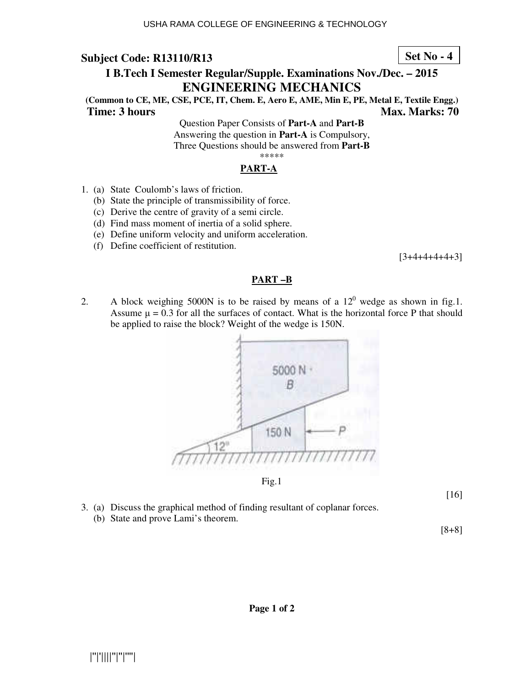#### **Set No - 4**

# **I B.Tech I Semester Regular/Supple. Examinations Nov./Dec. – 2015 ENGINEERING MECHANICS**

**(Common to CE, ME, CSE, PCE, IT, Chem. E, Aero E, AME, Min E, PE, Metal E, Textile Engg.) Time: 3 hours Max. Marks: 70 Max. Marks: 70** 

Question Paper Consists of **Part-A** and **Part-B** Answering the question in **Part-A** is Compulsory, Three Questions should be answered from **Part-B** \*\*\*\*\*

### **PART-A**

- 1. (a) State Coulomb's laws of friction.
	- (b) State the principle of transmissibility of force.
	- (c) Derive the centre of gravity of a semi circle.
	- (d) Find mass moment of inertia of a solid sphere.
	- (e) Define uniform velocity and uniform acceleration.
	- (f) Define coefficient of restitution.

 $[3+4+4+4+4+3]$ 

#### **PART –B**

2. A block weighing 5000N is to be raised by means of a  $12^0$  wedge as shown in fig.1. Assume  $\mu = 0.3$  for all the surfaces of contact. What is the horizontal force P that should be applied to raise the block? Weight of the wedge is 150N.



Fig.1

[16]

- 3. (a) Discuss the graphical method of finding resultant of coplanar forces.
	- (b) State and prove Lami's theorem.

[8+8]